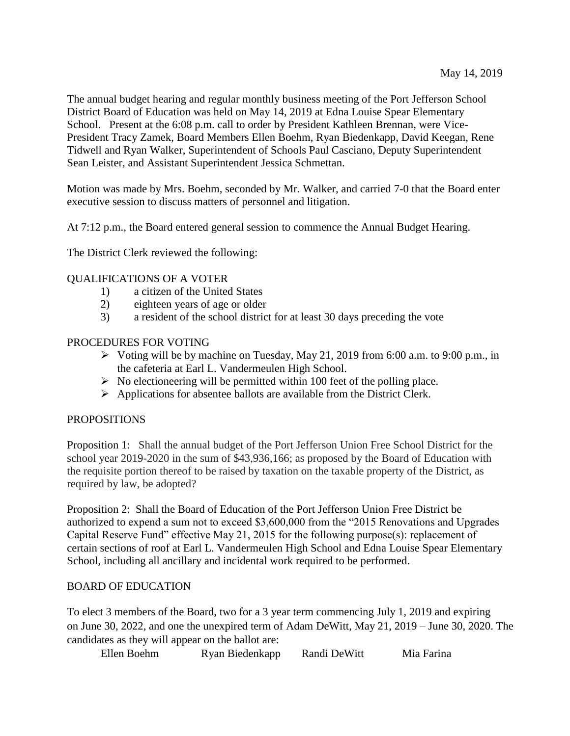The annual budget hearing and regular monthly business meeting of the Port Jefferson School District Board of Education was held on May 14, 2019 at Edna Louise Spear Elementary School. Present at the 6:08 p.m. call to order by President Kathleen Brennan, were Vice-President Tracy Zamek, Board Members Ellen Boehm, Ryan Biedenkapp, David Keegan, Rene Tidwell and Ryan Walker, Superintendent of Schools Paul Casciano, Deputy Superintendent Sean Leister, and Assistant Superintendent Jessica Schmettan.

Motion was made by Mrs. Boehm, seconded by Mr. Walker, and carried 7-0 that the Board enter executive session to discuss matters of personnel and litigation.

At 7:12 p.m., the Board entered general session to commence the Annual Budget Hearing.

The District Clerk reviewed the following:

# QUALIFICATIONS OF A VOTER

- 1) a citizen of the United States
- 2) eighteen years of age or older
- 3) a resident of the school district for at least 30 days preceding the vote

# PROCEDURES FOR VOTING

- $\triangleright$  Voting will be by machine on Tuesday, May 21, 2019 from 6:00 a.m. to 9:00 p.m., in the cafeteria at Earl L. Vandermeulen High School.
- $\triangleright$  No electioneering will be permitted within 100 feet of the polling place.
- $\triangleright$  Applications for absentee ballots are available from the District Clerk.

# PROPOSITIONS

Proposition 1: Shall the annual budget of the Port Jefferson Union Free School District for the school year 2019-2020 in the sum of \$43,936,166; as proposed by the Board of Education with the requisite portion thereof to be raised by taxation on the taxable property of the District, as required by law, be adopted?

Proposition 2: Shall the Board of Education of the Port Jefferson Union Free District be authorized to expend a sum not to exceed \$3,600,000 from the "2015 Renovations and Upgrades Capital Reserve Fund" effective May 21, 2015 for the following purpose(s): replacement of certain sections of roof at Earl L. Vandermeulen High School and Edna Louise Spear Elementary School, including all ancillary and incidental work required to be performed.

# BOARD OF EDUCATION

To elect 3 members of the Board, two for a 3 year term commencing July 1, 2019 and expiring on June 30, 2022, and one the unexpired term of Adam DeWitt, May 21, 2019 – June 30, 2020. The candidates as they will appear on the ballot are:

Ellen Boehm Ryan Biedenkapp Randi DeWitt Mia Farina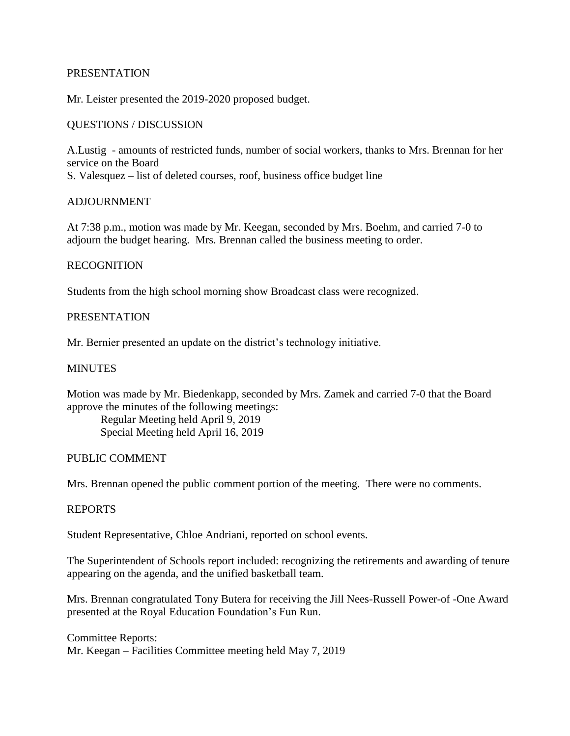# PRESENTATION

Mr. Leister presented the 2019-2020 proposed budget.

# QUESTIONS / DISCUSSION

A.Lustig - amounts of restricted funds, number of social workers, thanks to Mrs. Brennan for her service on the Board

S. Valesquez – list of deleted courses, roof, business office budget line

# **ADJOURNMENT**

At 7:38 p.m., motion was made by Mr. Keegan, seconded by Mrs. Boehm, and carried 7-0 to adjourn the budget hearing. Mrs. Brennan called the business meeting to order.

# RECOGNITION

Students from the high school morning show Broadcast class were recognized.

# PRESENTATION

Mr. Bernier presented an update on the district's technology initiative.

## **MINUTES**

Motion was made by Mr. Biedenkapp, seconded by Mrs. Zamek and carried 7-0 that the Board approve the minutes of the following meetings:

Regular Meeting held April 9, 2019 Special Meeting held April 16, 2019

## PUBLIC COMMENT

Mrs. Brennan opened the public comment portion of the meeting. There were no comments.

## REPORTS

Student Representative, Chloe Andriani, reported on school events.

The Superintendent of Schools report included: recognizing the retirements and awarding of tenure appearing on the agenda, and the unified basketball team.

Mrs. Brennan congratulated Tony Butera for receiving the Jill Nees-Russell Power-of -One Award presented at the Royal Education Foundation's Fun Run.

Committee Reports: Mr. Keegan – Facilities Committee meeting held May 7, 2019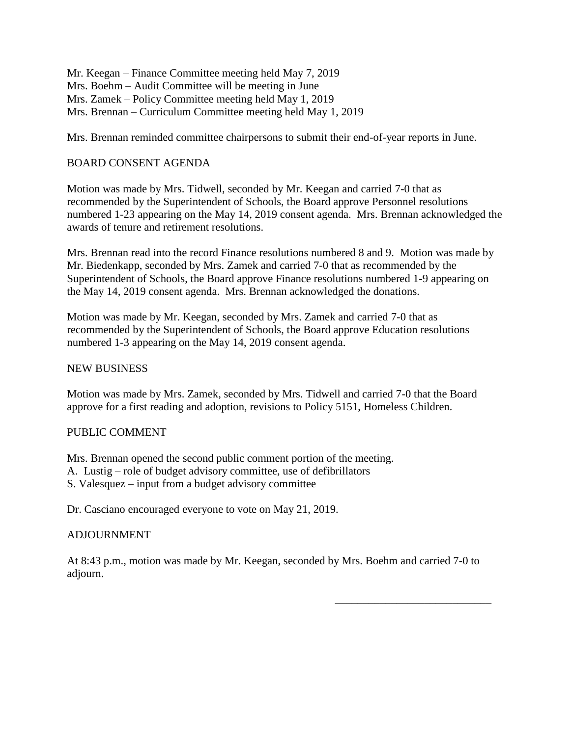Mr. Keegan – Finance Committee meeting held May 7, 2019 Mrs. Boehm – Audit Committee will be meeting in June Mrs. Zamek – Policy Committee meeting held May 1, 2019 Mrs. Brennan – Curriculum Committee meeting held May 1, 2019

Mrs. Brennan reminded committee chairpersons to submit their end-of-year reports in June.

# BOARD CONSENT AGENDA

Motion was made by Mrs. Tidwell, seconded by Mr. Keegan and carried 7-0 that as recommended by the Superintendent of Schools, the Board approve Personnel resolutions numbered 1-23 appearing on the May 14, 2019 consent agenda. Mrs. Brennan acknowledged the awards of tenure and retirement resolutions.

Mrs. Brennan read into the record Finance resolutions numbered 8 and 9. Motion was made by Mr. Biedenkapp, seconded by Mrs. Zamek and carried 7-0 that as recommended by the Superintendent of Schools, the Board approve Finance resolutions numbered 1-9 appearing on the May 14, 2019 consent agenda. Mrs. Brennan acknowledged the donations.

Motion was made by Mr. Keegan, seconded by Mrs. Zamek and carried 7-0 that as recommended by the Superintendent of Schools, the Board approve Education resolutions numbered 1-3 appearing on the May 14, 2019 consent agenda.

# NEW BUSINESS

Motion was made by Mrs. Zamek, seconded by Mrs. Tidwell and carried 7-0 that the Board approve for a first reading and adoption, revisions to Policy 5151, Homeless Children.

# PUBLIC COMMENT

Mrs. Brennan opened the second public comment portion of the meeting.

- A. Lustig role of budget advisory committee, use of defibrillators
- S. Valesquez input from a budget advisory committee

Dr. Casciano encouraged everyone to vote on May 21, 2019.

# ADJOURNMENT

At 8:43 p.m., motion was made by Mr. Keegan, seconded by Mrs. Boehm and carried 7-0 to adjourn.

\_\_\_\_\_\_\_\_\_\_\_\_\_\_\_\_\_\_\_\_\_\_\_\_\_\_\_\_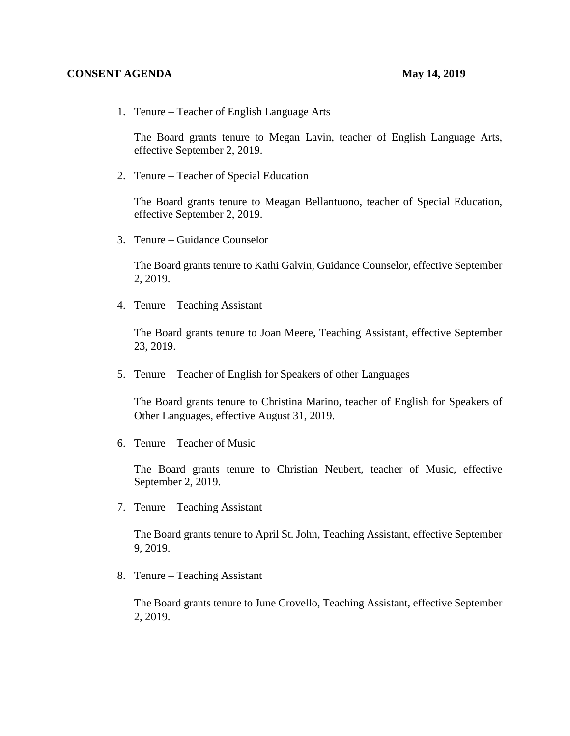## **CONSENT AGENDA May 14, 2019**

1. Tenure – Teacher of English Language Arts

The Board grants tenure to Megan Lavin, teacher of English Language Arts, effective September 2, 2019.

2. Tenure – Teacher of Special Education

The Board grants tenure to Meagan Bellantuono, teacher of Special Education, effective September 2, 2019.

3. Tenure – Guidance Counselor

The Board grants tenure to Kathi Galvin, Guidance Counselor, effective September 2, 2019.

4. Tenure – Teaching Assistant

The Board grants tenure to Joan Meere, Teaching Assistant, effective September 23, 2019.

5. Tenure – Teacher of English for Speakers of other Languages

The Board grants tenure to Christina Marino, teacher of English for Speakers of Other Languages, effective August 31, 2019.

6. Tenure – Teacher of Music

The Board grants tenure to Christian Neubert, teacher of Music, effective September 2, 2019.

7. Tenure – Teaching Assistant

The Board grants tenure to April St. John, Teaching Assistant, effective September 9, 2019.

8. Tenure – Teaching Assistant

The Board grants tenure to June Crovello, Teaching Assistant, effective September 2, 2019.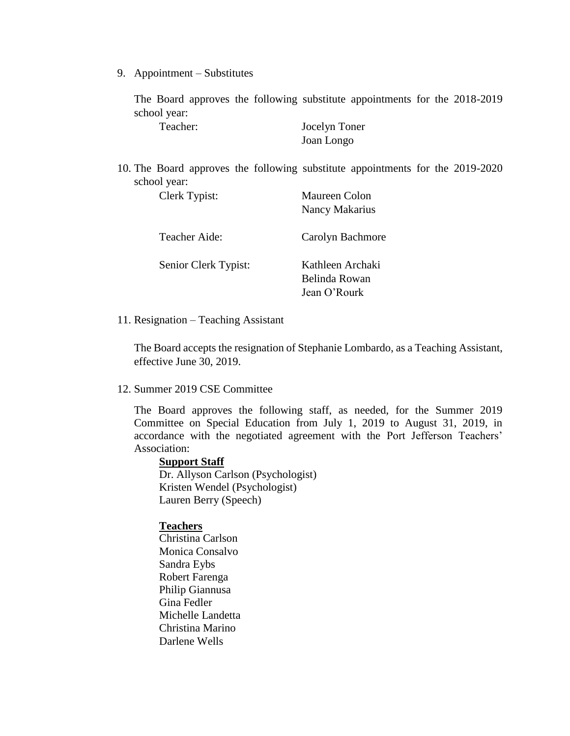9. Appointment – Substitutes

The Board approves the following substitute appointments for the 2018-2019 school year:

| Teacher: | Jocelyn Toner |
|----------|---------------|
|          | Joan Longo    |

10. The Board approves the following substitute appointments for the 2019-2020 school year:

| Clerk Typist:        | <b>Maureen Colon</b>              |
|----------------------|-----------------------------------|
|                      | Nancy Makarius                    |
| Teacher Aide:        | Carolyn Bachmore                  |
| Senior Clerk Typist: | Kathleen Archaki<br>Belinda Rowan |
|                      | Jean O'Rourk                      |

### 11. Resignation – Teaching Assistant

The Board accepts the resignation of Stephanie Lombardo, as a Teaching Assistant, effective June 30, 2019.

# 12. Summer 2019 CSE Committee

The Board approves the following staff, as needed, for the Summer 2019 Committee on Special Education from July 1, 2019 to August 31, 2019, in accordance with the negotiated agreement with the Port Jefferson Teachers' Association:

### **Support Staff**

Dr. Allyson Carlson (Psychologist) Kristen Wendel (Psychologist) Lauren Berry (Speech)

## **Teachers**

Christina Carlson Monica Consalvo Sandra Eybs Robert Farenga Philip Giannusa Gina Fedler Michelle Landetta Christina Marino Darlene Wells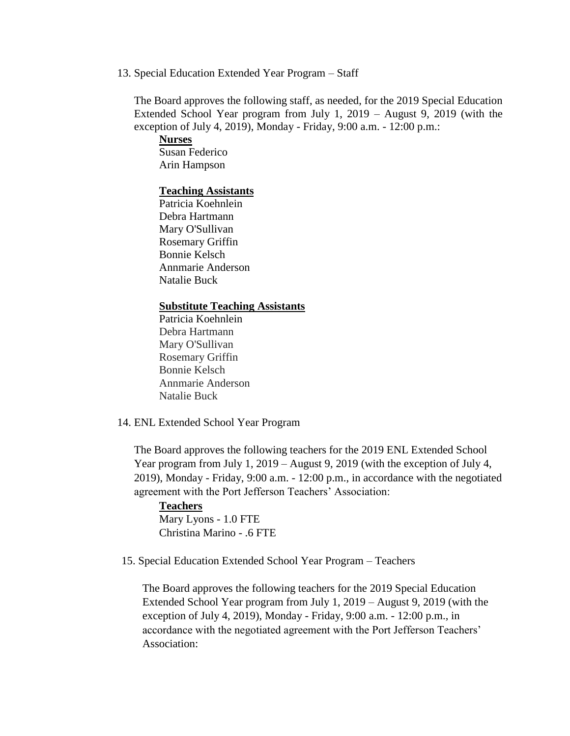13. Special Education Extended Year Program – Staff

The Board approves the following staff, as needed, for the 2019 Special Education Extended School Year program from July 1, 2019 – August 9, 2019 (with the exception of July 4, 2019), Monday - Friday, 9:00 a.m. - 12:00 p.m.:

**Nurses** Susan Federico Arin Hampson

### **Teaching Assistants**

Patricia Koehnlein Debra Hartmann Mary O'Sullivan Rosemary Griffin Bonnie Kelsch Annmarie Anderson Natalie Buck

## **Substitute Teaching Assistants**

Patricia Koehnlein Debra Hartmann Mary O'Sullivan Rosemary Griffin Bonnie Kelsch Annmarie Anderson Natalie Buck

14. ENL Extended School Year Program

The Board approves the following teachers for the 2019 ENL Extended School Year program from July 1, 2019 – August 9, 2019 (with the exception of July 4, 2019), Monday - Friday, 9:00 a.m. - 12:00 p.m., in accordance with the negotiated agreement with the Port Jefferson Teachers' Association:

**Teachers** Mary Lyons - 1.0 FTE Christina Marino - .6 FTE

15. Special Education Extended School Year Program – Teachers

The Board approves the following teachers for the 2019 Special Education Extended School Year program from July 1, 2019 – August 9, 2019 (with the exception of July 4, 2019), Monday - Friday, 9:00 a.m. - 12:00 p.m., in accordance with the negotiated agreement with the Port Jefferson Teachers' Association: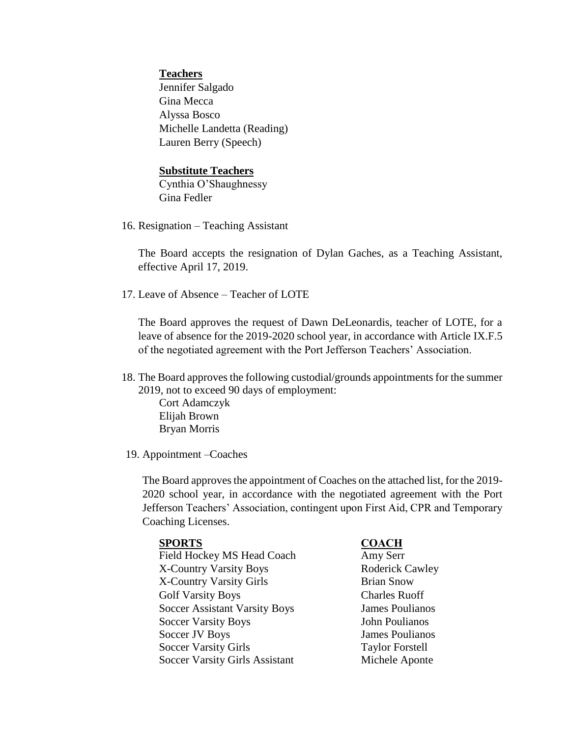# **Teachers**

Jennifer Salgado Gina Mecca Alyssa Bosco Michelle Landetta (Reading) Lauren Berry (Speech)

# **Substitute Teachers**

Cynthia O'Shaughnessy Gina Fedler

16. Resignation – Teaching Assistant

The Board accepts the resignation of Dylan Gaches, as a Teaching Assistant, effective April 17, 2019.

17. Leave of Absence – Teacher of LOTE

The Board approves the request of Dawn DeLeonardis, teacher of LOTE, for a leave of absence for the 2019-2020 school year, in accordance with Article IX.F.5 of the negotiated agreement with the Port Jefferson Teachers' Association.

18. The Board approves the following custodial/grounds appointments for the summer 2019, not to exceed 90 days of employment:

Cort Adamczyk Elijah Brown Bryan Morris

19. Appointment –Coaches

The Board approves the appointment of Coaches on the attached list, for the 2019- 2020 school year, in accordance with the negotiated agreement with the Port Jefferson Teachers' Association, contingent upon First Aid, CPR and Temporary Coaching Licenses.

## **SPORTS COACH**

Field Hockey MS Head Coach X-Country Varsity Boys X-Country Varsity Girls Brian Snow Golf Varsity Boys Charles Ruoff Soccer Assistant Varsity Boys James Poulianos Soccer Varsity Boys Soccer JV Boys Soccer Varsity Girls Soccer Varsity Girls Assistant

Amy Serr Roderick Cawley John Poulianos James Poulianos Taylor Forstell Michele Aponte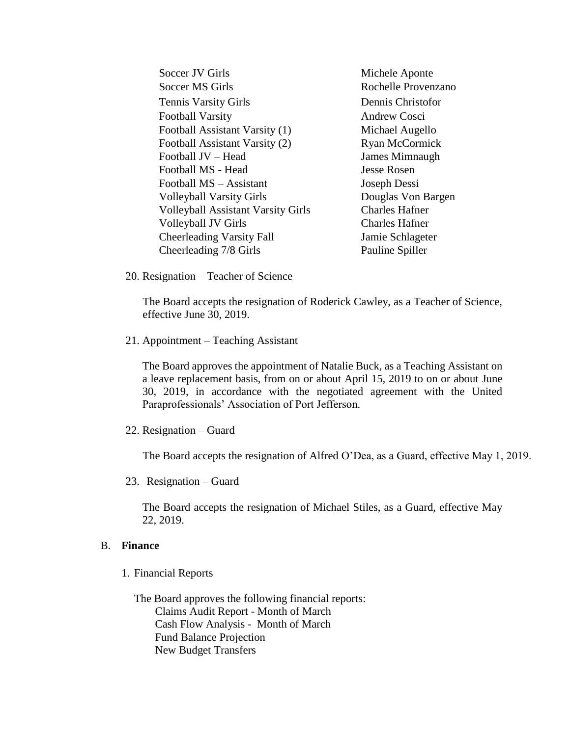Soccer JV Girls Michele Aponte Soccer MS Girls **Rochelle Provenzano** Tennis Varsity Girls Dennis Christofor Football Varsity **Andrew Cosci** Football Assistant Varsity (1) Michael Augello Football Assistant Varsity (2) Ryan McCormick Football JV – Head James Mimnaugh Football MS - Head Jesse Rosen Football MS – Assistant Joseph Dessi Volleyball Varsity Girls Douglas Von Bargen Volleyball Assistant Varsity Girls Charles Hafner Volleyball JV Girls Charles Hafner Cheerleading Varsity Fall Jamie Schlageter Cheerleading 7/8 Girls Pauline Spiller

20. Resignation – Teacher of Science

The Board accepts the resignation of Roderick Cawley, as a Teacher of Science, effective June 30, 2019.

21. Appointment – Teaching Assistant

The Board approves the appointment of Natalie Buck, as a Teaching Assistant on a leave replacement basis, from on or about April 15, 2019 to on or about June 30, 2019, in accordance with the negotiated agreement with the United Paraprofessionals' Association of Port Jefferson.

22. Resignation – Guard

The Board accepts the resignation of Alfred O'Dea, as a Guard, effective May 1, 2019.

23. Resignation – Guard

The Board accepts the resignation of Michael Stiles, as a Guard, effective May 22, 2019.

## B. **Finance**

1. Financial Reports

The Board approves the following financial reports: Claims Audit Report - Month of March Cash Flow Analysis - Month of March Fund Balance Projection New Budget Transfers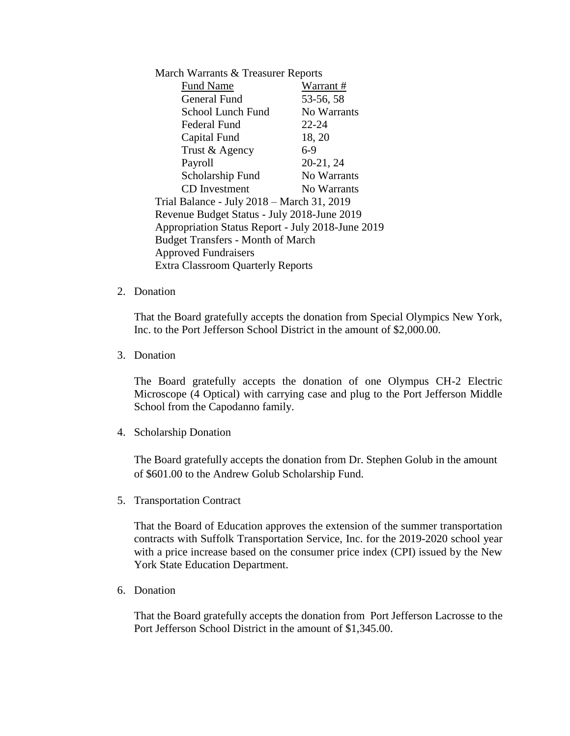| March Warrants & Treasurer Reports                |             |  |
|---------------------------------------------------|-------------|--|
| <b>Fund Name</b>                                  | Warrant #   |  |
| <b>General Fund</b>                               | 53-56, 58   |  |
| School Lunch Fund                                 | No Warrants |  |
| Federal Fund                                      | 22-24       |  |
| Capital Fund                                      | 18, 20      |  |
| Trust & Agency                                    | $6-9$       |  |
| Payroll                                           | 20-21, 24   |  |
| Scholarship Fund                                  | No Warrants |  |
| <b>CD</b> Investment                              | No Warrants |  |
| Trial Balance - July 2018 - March 31, 2019        |             |  |
| Revenue Budget Status - July 2018-June 2019       |             |  |
| Appropriation Status Report - July 2018-June 2019 |             |  |
| <b>Budget Transfers - Month of March</b>          |             |  |
| <b>Approved Fundraisers</b>                       |             |  |
| <b>Extra Classroom Quarterly Reports</b>          |             |  |

# 2. Donation

That the Board gratefully accepts the donation from Special Olympics New York, Inc. to the Port Jefferson School District in the amount of \$2,000.00.

3. Donation

The Board gratefully accepts the donation of one Olympus CH-2 Electric Microscope (4 Optical) with carrying case and plug to the Port Jefferson Middle School from the Capodanno family.

4. Scholarship Donation

The Board gratefully accepts the donation from Dr. Stephen Golub in the amount of \$601.00 to the Andrew Golub Scholarship Fund.

5. Transportation Contract

That the Board of Education approves the extension of the summer transportation contracts with Suffolk Transportation Service, Inc. for the 2019-2020 school year with a price increase based on the consumer price index (CPI) issued by the New York State Education Department.

6. Donation

That the Board gratefully accepts the donation from Port Jefferson Lacrosse to the Port Jefferson School District in the amount of \$1,345.00.